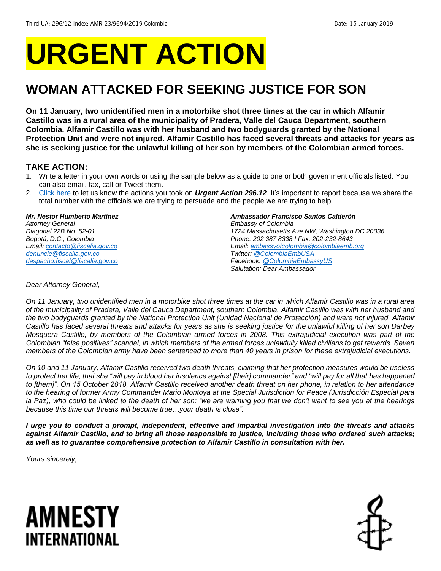# **URGENT ACTION**

## **WOMAN ATTACKED FOR SEEKING JUSTICE FOR SON**

**On 11 January, two unidentified men in a motorbike shot three times at the car in which Alfamir Castillo was in a rural area of the municipality of Pradera, Valle del Cauca Department, southern Colombia. Alfamir Castillo was with her husband and two bodyguards granted by the National Protection Unit and were not injured. Alfamir Castillo has faced several threats and attacks for years as she is seeking justice for the unlawful killing of her son by members of the Colombian armed forces.**

### **TAKE ACTION:**

- 1. Write a letter in your own words or using the sample below as a guide to one or both government officials listed. You can also email, fax, call or Tweet them.
- 2. [Click here](https://www.amnestyusa.org/report-urgent-actions/) to let us know the actions you took on *Urgent Action 296.12.* It's important to report because we share the total number with the officials we are trying to persuade and the people we are trying to help.

### *Mr. Nestor Humberto Martínez*

*Attorney General Diagonal 22B No. 52-01 Bogotá, D.C., Colombia Email[: contacto@fiscalia.gov.co](mailto:contacto@fiscalia.gov.co) [denuncie@fiscalia.gov.co](mailto:denuncie@fiscalia.gov.co) [despacho.fiscal@fiscalia.gov.co](mailto:despacho.fiscal@fiscalia.gov.co)*

### *Ambassador Francisco Santos Calderón*

*Embassy of Colombia 1724 Massachusetts Ave NW, Washington DC 20036 Phone: 202 387 8338 I Fax: 202-232-8643 Email[: embassyofcolombia@colombiaemb.org](mailto:embassyofcolombia@colombiaemb.org) Twitter: [@ColombiaEmbUSA](https://twitter.com/colombiaembusa?lang=en) Facebook[: @ColombiaEmbassyUS](https://www.facebook.com/pg/ColombiaEmbassyUS/posts/) Salutation: Dear Ambassador*

### *Dear Attorney General,*

*On 11 January, two unidentified men in a motorbike shot three times at the car in which Alfamir Castillo was in a rural area of the municipality of Pradera, Valle del Cauca Department, southern Colombia. Alfamir Castillo was with her husband and the two bodyguards granted by the National Protection Unit (Unidad Nacional de Protección) and were not injured. Alfamir Castillo has faced several threats and attacks for years as she is seeking justice for the unlawful killing of her son Darbey Mosquera Castillo, by members of the Colombian armed forces in 2008. This extrajudicial execution was part of the Colombian "false positives" scandal, in which members of the armed forces unlawfully killed civilians to get rewards. Seven members of the Colombian army have been sentenced to more than 40 years in prison for these extrajudicial executions.*

*On 10 and 11 January, Alfamir Castillo received two death threats, claiming that her protection measures would be useless to protect her life, that she "will pay in blood her insolence against [their] commander" and "will pay for all that has happened to [them]". On 15 October 2018, Alfamir Castillo received another death threat on her phone, in relation to her attendance to the hearing of former Army Commander Mario Montoya at the Special Jurisdiction for Peace (Jurisdicción Especial para la Paz), who could be linked to the death of her son: "we are warning you that we don't want to see you at the hearings because this time our threats will become true…your death is close".*

*I urge you to conduct a prompt, independent, effective and impartial investigation into the threats and attacks against Alfamir Castillo, and to bring all those responsible to justice, including those who ordered such attacks; as well as to guarantee comprehensive protection to Alfamir Castillo in consultation with her.*

*Yours sincerely,*

# AMNESTY INTERNATIONAL